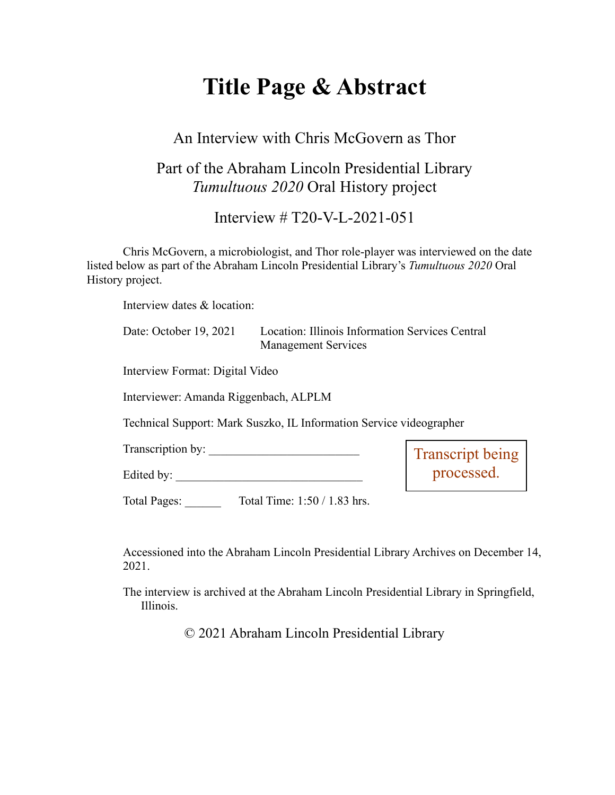# **Title Page & Abstract**

#### An Interview with Chris McGovern as Thor

### Part of the Abraham Lincoln Presidential Library *Tumultuous 2020* Oral History project

Interview # T20-V-L-2021-051

Chris McGovern, a microbiologist, and Thor role-player was interviewed on the date listed below as part of the Abraham Lincoln Presidential Library's *Tumultuous 2020* Oral History project.

Interview dates & location:

| Date: October 19, 2021 | Location: Illinois Information Services Central |
|------------------------|-------------------------------------------------|
|                        | <b>Management Services</b>                      |

Interview Format: Digital Video

Interviewer: Amanda Riggenbach, ALPLM

Technical Support: Mark Suszko, IL Information Service videographer

Transcription by:

Edited by: \_\_\_\_\_\_\_\_\_\_\_\_\_\_\_\_\_\_\_\_\_\_\_\_\_\_\_\_\_\_\_

Transcript being processed.

Total Pages: Total Time: 1:50 / 1.83 hrs.

Accessioned into the Abraham Lincoln Presidential Library Archives on December 14, 2021.

The interview is archived at the Abraham Lincoln Presidential Library in Springfield, Illinois.

© 2021 Abraham Lincoln Presidential Library